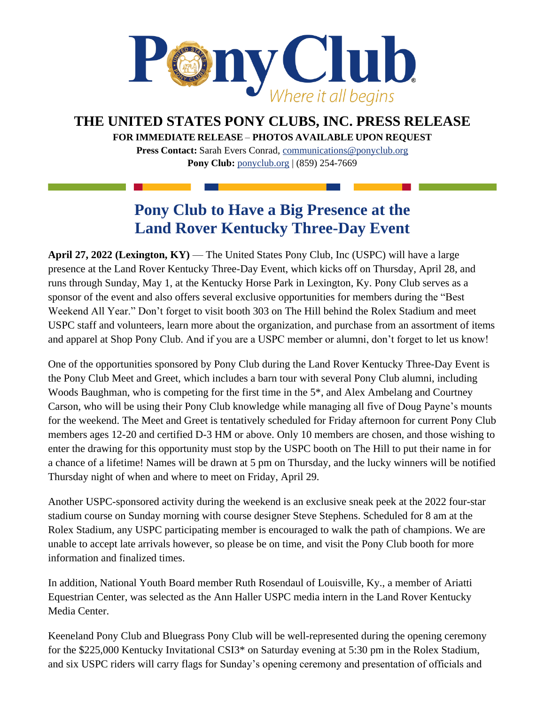

## **THE UNITED STATES PONY CLUBS, INC. PRESS RELEASE**

**FOR IMMEDIATE RELEASE** – **PHOTOS AVAILABLE UPON REQUEST** 

**Press Contact:** Sarah Evers Conrad, [communications@ponyclub.org](mailto:communications@ponyclub.org) **Pony Club:** [ponyclub.org](https://www.ponyclub.org/) | (859) 254-7669

## **Pony Club to Have a Big Presence at the Land Rover Kentucky Three-Day Event**

**April 27, 2022 (Lexington, KY)** — The United States Pony Club, Inc (USPC) will have a large presence at the Land Rover Kentucky Three-Day Event, which kicks off on Thursday, April 28, and runs through Sunday, May 1, at the Kentucky Horse Park in Lexington, Ky. Pony Club serves as a sponsor of the event and also offers several exclusive opportunities for members during the "Best Weekend All Year." Don't forget to visit booth 303 on The Hill behind the Rolex Stadium and meet USPC staff and volunteers, learn more about the organization, and purchase from an assortment of items and apparel at Shop Pony Club. And if you are a USPC member or alumni, don't forget to let us know!

One of the opportunities sponsored by Pony Club during the Land Rover Kentucky Three-Day Event is the Pony Club Meet and Greet, which includes a barn tour with several Pony Club alumni, including Woods Baughman, who is competing for the first time in the 5\*, and Alex Ambelang and Courtney Carson, who will be using their Pony Club knowledge while managing all five of Doug Payne's mounts for the weekend. The Meet and Greet is tentatively scheduled for Friday afternoon for current Pony Club members ages 12-20 and certified D-3 HM or above. Only 10 members are chosen, and those wishing to enter the drawing for this opportunity must stop by the USPC booth on The Hill to put their name in for a chance of a lifetime! Names will be drawn at 5 pm on Thursday, and the lucky winners will be notified Thursday night of when and where to meet on Friday, April 29.

Another USPC-sponsored activity during the weekend is an exclusive sneak peek at the 2022 four-star stadium course on Sunday morning with course designer Steve Stephens. Scheduled for 8 am at the Rolex Stadium, any USPC participating member is encouraged to walk the path of champions. We are unable to accept late arrivals however, so please be on time, and visit the Pony Club booth for more information and finalized times.

In addition, National Youth Board member Ruth Rosendaul of Louisville, Ky., a member of Ariatti Equestrian Center, was selected as the Ann Haller USPC media intern in the Land Rover Kentucky Media Center.

Keeneland Pony Club and Bluegrass Pony Club will be well-represented during the opening ceremony for the \$225,000 Kentucky Invitational CSI3\* on Saturday evening at 5:30 pm in the Rolex Stadium, and six USPC riders will carry flags for Sunday's opening ceremony and presentation of officials and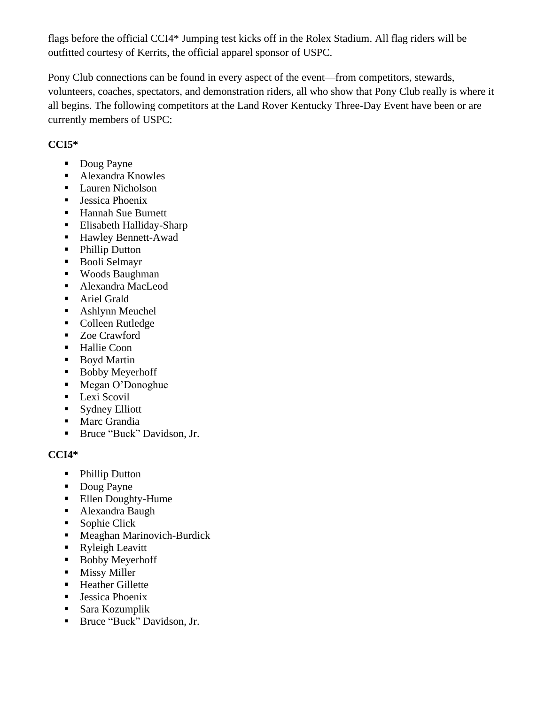flags before the official CCI4\* Jumping test kicks off in the Rolex Stadium. All flag riders will be outfitted courtesy of Kerrits, the official apparel sponsor of USPC.

Pony Club connections can be found in every aspect of the event—from competitors, stewards, volunteers, coaches, spectators, and demonstration riders, all who show that Pony Club really is where it all begins. The following competitors at the Land Rover Kentucky Three-Day Event have been or are currently members of USPC:

## **CCI5\***

- Doug Payne
- Alexandra Knowles
- Lauren Nicholson
- **Example 1** Jessica Phoenix
- Hannah Sue Burnett
- Elisabeth Halliday-Sharp
- Hawley Bennett-Awad
- Phillip Dutton
- Booli Selmayr
- Woods Baughman
- Alexandra MacLeod
- **EXECUTE:** Ariel Grald
- Ashlynn Meuchel
- Colleen Rutledge
- Zoe Crawford
- Hallie Coon
- Boyd Martin
- Bobby Meyerhoff
- Megan O'Donoghue
- **•** Lexi Scovil
- Sydney Elliott
- Marc Grandia
- Bruce "Buck" Davidson, Jr.

## **CCI4\***

- Phillip Dutton
- Doug Payne
- Ellen Doughty-Hume
- Alexandra Baugh
- Sophie Click
- Meaghan Marinovich-Burdick
- Ryleigh Leavitt
- Bobby Meyerhoff
- Missy Miller
- Heather Gillette
- Jessica Phoenix
- $\blacksquare$  Sara Kozumplik
- Bruce "Buck" Davidson, Jr.